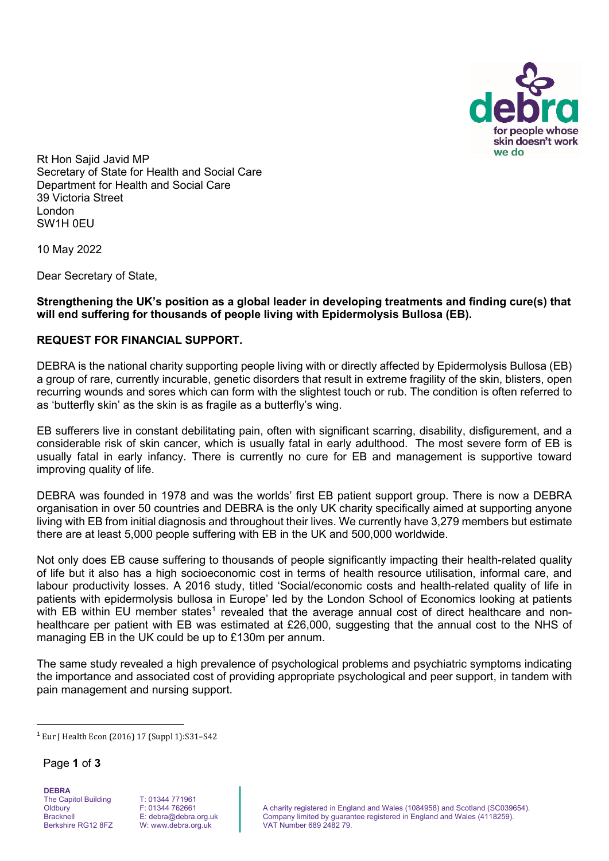

Rt Hon Sajid Javid MP Secretary of State for Health and Social Care Department for Health and Social Care 39 Victoria Street London SW1H 0EU

10 May 2022

Dear Secretary of State,

**Strengthening the UK's position as a global leader in developing treatments and finding cure(s) that will end suffering for thousands of people living with Epidermolysis Bullosa (EB).**

### **REQUEST FOR FINANCIAL SUPPORT.**

DEBRA is the national charity supporting people living with or directly affected by Epidermolysis Bullosa (EB) a group of rare, currently incurable, genetic disorders that result in extreme fragility of the skin, blisters, open recurring wounds and sores which can form with the slightest touch or rub. The condition is often referred to as 'butterfly skin' as the skin is as fragile as a butterfly's wing.

EB sufferers live in constant debilitating pain, often with significant scarring, disability, disfigurement, and a considerable risk of skin cancer, which is usually fatal in early adulthood. The most severe form of EB is usually fatal in early infancy. There is currently no cure for EB and management is supportive toward improving quality of life.

DEBRA was founded in 1978 and was the worlds' first EB patient support group. There is now a DEBRA organisation in over 50 countries and DEBRA is the only UK charity specifically aimed at supporting anyone living with EB from initial diagnosis and throughout their lives. We currently have 3,279 members but estimate there are at least 5,000 people suffering with EB in the UK and 500,000 worldwide.

Not only does EB cause suffering to thousands of people significantly impacting their health-related quality of life but it also has a high socioeconomic cost in terms of health resource utilisation, informal care, and labour productivity losses. A 2016 study, titled 'Social/economic costs and health-related quality of life in patients with epidermolysis bullosa in Europe' led by the London School of Economics looking at patients with EB within EU member states<sup>[1](#page-0-0)</sup> revealed that the average annual cost of direct healthcare and nonhealthcare per patient with EB was estimated at £26,000, suggesting that the annual cost to the NHS of managing EB in the UK could be up to £130m per annum.

The same study revealed a high prevalence of psychological problems and psychiatric symptoms indicating the importance and associated cost of providing appropriate psychological and peer support, in tandem with pain management and nursing support.

Page **1** of **3**

**DEBRA** The Capitol Building **Oldbury** Bracknell Berkshire RG12 8FZ

<span id="page-0-0"></span><sup>1</sup> Eur J Health Econ (2016) 17 (Suppl 1):S31–S42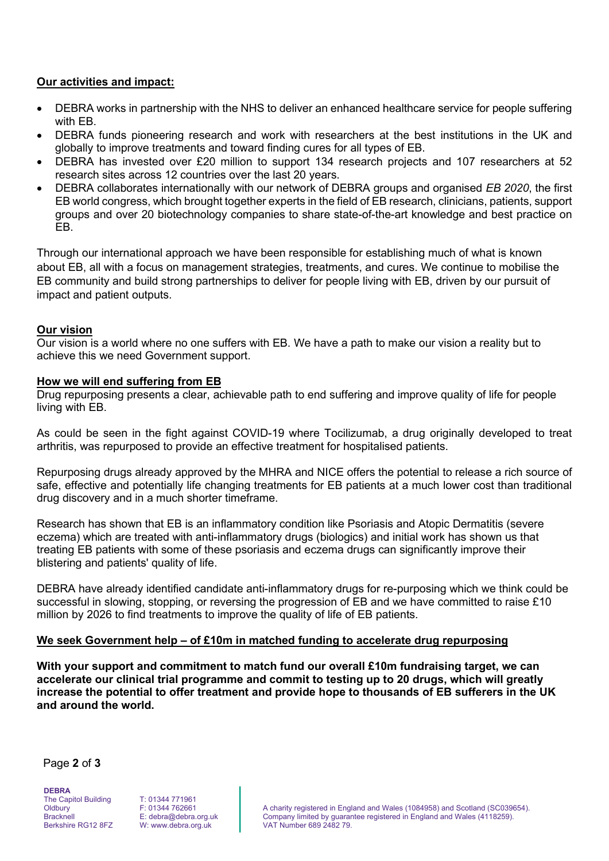# **Our activities and impact:**

- DEBRA works in partnership with the NHS to deliver an enhanced healthcare service for people suffering with EB.
- DEBRA funds pioneering research and work with researchers at the best institutions in the UK and globally to improve treatments and toward finding cures for all types of EB.
- DEBRA has invested over £20 million to support 134 research projects and 107 researchers at 52 research sites across 12 countries over the last 20 years.
- DEBRA collaborates internationally with our network of DEBRA groups and organised *EB 2020*, the first EB world congress, which brought together experts in the field of EB research, clinicians, patients, support groups and over 20 biotechnology companies to share state-of-the-art knowledge and best practice on EB.

Through our international approach we have been responsible for establishing much of what is known about EB, all with a focus on management strategies, treatments, and cures. We continue to mobilise the EB community and build strong partnerships to deliver for people living with EB, driven by our pursuit of impact and patient outputs.

### **Our vision**

Our vision is a world where no one suffers with EB. We have a path to make our vision a reality but to achieve this we need Government support.

### **How we will end suffering from EB**

Drug repurposing presents a clear, achievable path to end suffering and improve quality of life for people living with EB.

As could be seen in the fight against COVID-19 where Tocilizumab, a drug originally developed to treat arthritis, was repurposed to provide an effective treatment for hospitalised patients.

Repurposing drugs already approved by the MHRA and NICE offers the potential to release a rich source of safe, effective and potentially life changing treatments for EB patients at a much lower cost than traditional drug discovery and in a much shorter timeframe.

Research has shown that EB is an inflammatory condition like Psoriasis and Atopic Dermatitis (severe eczema) which are treated with anti-inflammatory drugs (biologics) and initial work has shown us that treating EB patients with some of these psoriasis and eczema drugs can significantly improve their blistering and patients' quality of life.

DEBRA have already identified candidate anti-inflammatory drugs for re-purposing which we think could be successful in slowing, stopping, or reversing the progression of EB and we have committed to raise £10 million by 2026 to find treatments to improve the quality of life of EB patients.

# **We seek Government help – of £10m in matched funding to accelerate drug repurposing**

**With your support and commitment to match fund our overall £10m fundraising target, we can accelerate our clinical trial programme and commit to testing up to 20 drugs, which will greatly increase the potential to offer treatment and provide hope to thousands of EB sufferers in the UK and around the world.**

Page **2** of **3**

**DEBRA** The Capitol Building **Oldbury Bracknell** Berkshire RG12 8FZ